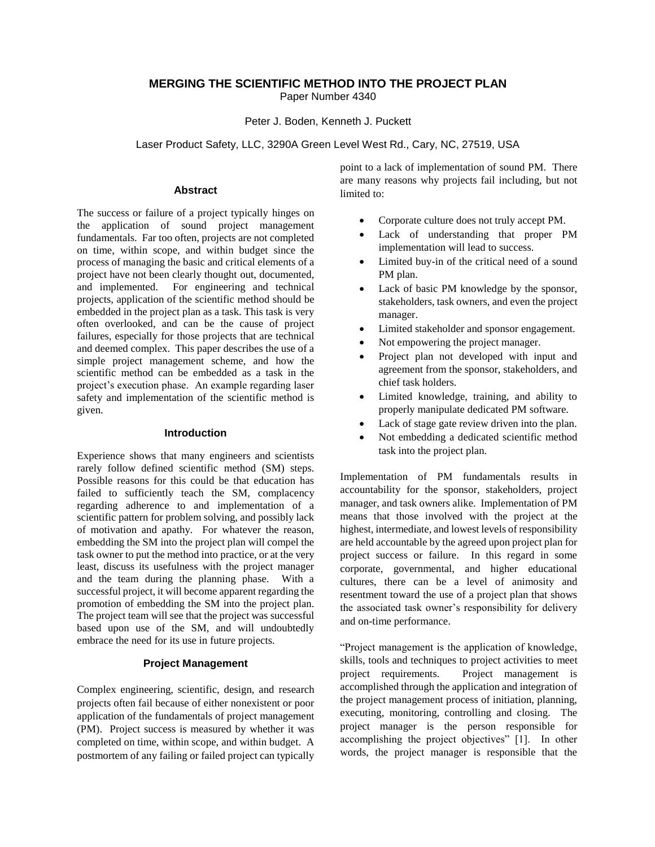# **MERGING THE SCIENTIFIC METHOD INTO THE PROJECT PLAN**

Paper Number 4340

Peter J. Boden, Kenneth J. Puckett

Laser Product Safety, LLC, 3290A Green Level West Rd., Cary, NC, 27519, USA

#### **Abstract**

The success or failure of a project typically hinges on the application of sound project management fundamentals. Far too often, projects are not completed on time, within scope, and within budget since the process of managing the basic and critical elements of a project have not been clearly thought out, documented, and implemented. For engineering and technical projects, application of the scientific method should be embedded in the project plan as a task. This task is very often overlooked, and can be the cause of project failures, especially for those projects that are technical and deemed complex. This paper describes the use of a simple project management scheme, and how the scientific method can be embedded as a task in the project's execution phase. An example regarding laser safety and implementation of the scientific method is given.

#### **Introduction**

Experience shows that many engineers and scientists rarely follow defined scientific method (SM) steps. Possible reasons for this could be that education has failed to sufficiently teach the SM, complacency regarding adherence to and implementation of a scientific pattern for problem solving, and possibly lack of motivation and apathy. For whatever the reason, embedding the SM into the project plan will compel the task owner to put the method into practice, or at the very least, discuss its usefulness with the project manager and the team during the planning phase. With a successful project, it will become apparent regarding the promotion of embedding the SM into the project plan. The project team will see that the project was successful based upon use of the SM, and will undoubtedly embrace the need for its use in future projects.

#### **Project Management**

Complex engineering, scientific, design, and research projects often fail because of either nonexistent or poor application of the fundamentals of project management (PM). Project success is measured by whether it was completed on time, within scope, and within budget. A postmortem of any failing or failed project can typically point to a lack of implementation of sound PM. There are many reasons why projects fail including, but not limited to:

- Corporate culture does not truly accept PM.
- Lack of understanding that proper PM implementation will lead to success.
- Limited buy-in of the critical need of a sound PM plan.
- Lack of basic PM knowledge by the sponsor, stakeholders, task owners, and even the project manager.
- Limited stakeholder and sponsor engagement.
- Not empowering the project manager.
- Project plan not developed with input and agreement from the sponsor, stakeholders, and chief task holders.
- Limited knowledge, training, and ability to properly manipulate dedicated PM software.
- Lack of stage gate review driven into the plan.
- Not embedding a dedicated scientific method task into the project plan.

Implementation of PM fundamentals results in accountability for the sponsor, stakeholders, project manager, and task owners alike. Implementation of PM means that those involved with the project at the highest, intermediate, and lowest levels of responsibility are held accountable by the agreed upon project plan for project success or failure. In this regard in some corporate, governmental, and higher educational cultures, there can be a level of animosity and resentment toward the use of a project plan that shows the associated task owner's responsibility for delivery and on-time performance.

"Project management is the application of knowledge, skills, tools and techniques to project activities to meet project requirements. Project management is accomplished through the application and integration of the project management process of initiation, planning, executing, monitoring, controlling and closing. The project manager is the person responsible for accomplishing the project objectives" [1]. In other words, the project manager is responsible that the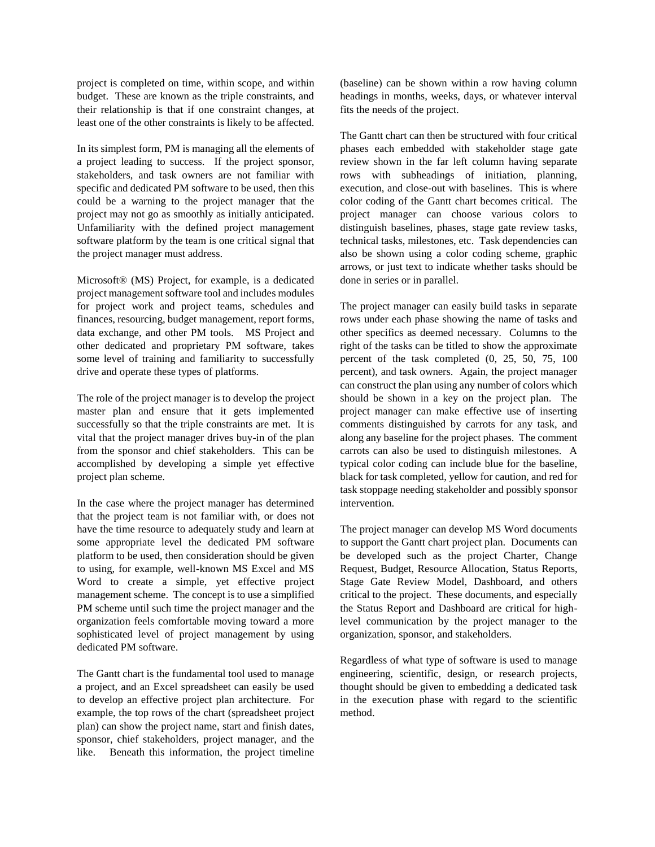project is completed on time, within scope, and within budget. These are known as the triple constraints, and their relationship is that if one constraint changes, at least one of the other constraints is likely to be affected.

In its simplest form, PM is managing all the elements of a project leading to success. If the project sponsor, stakeholders, and task owners are not familiar with specific and dedicated PM software to be used, then this could be a warning to the project manager that the project may not go as smoothly as initially anticipated. Unfamiliarity with the defined project management software platform by the team is one critical signal that the project manager must address.

Microsoft® (MS) Project, for example, is a dedicated project management software tool and includes modules for project work and project teams, schedules and finances, resourcing, budget management, report forms, data exchange, and other PM tools. MS Project and other dedicated and proprietary PM software, takes some level of training and familiarity to successfully drive and operate these types of platforms.

The role of the project manager is to develop the project master plan and ensure that it gets implemented successfully so that the triple constraints are met. It is vital that the project manager drives buy-in of the plan from the sponsor and chief stakeholders. This can be accomplished by developing a simple yet effective project plan scheme.

In the case where the project manager has determined that the project team is not familiar with, or does not have the time resource to adequately study and learn at some appropriate level the dedicated PM software platform to be used, then consideration should be given to using, for example, well-known MS Excel and MS Word to create a simple, yet effective project management scheme. The concept is to use a simplified PM scheme until such time the project manager and the organization feels comfortable moving toward a more sophisticated level of project management by using dedicated PM software.

The Gantt chart is the fundamental tool used to manage a project, and an Excel spreadsheet can easily be used to develop an effective project plan architecture. For example, the top rows of the chart (spreadsheet project plan) can show the project name, start and finish dates, sponsor, chief stakeholders, project manager, and the like. Beneath this information, the project timeline

(baseline) can be shown within a row having column headings in months, weeks, days, or whatever interval fits the needs of the project.

The Gantt chart can then be structured with four critical phases each embedded with stakeholder stage gate review shown in the far left column having separate rows with subheadings of initiation, planning, execution, and close-out with baselines. This is where color coding of the Gantt chart becomes critical. The project manager can choose various colors to distinguish baselines, phases, stage gate review tasks, technical tasks, milestones, etc. Task dependencies can also be shown using a color coding scheme, graphic arrows, or just text to indicate whether tasks should be done in series or in parallel.

The project manager can easily build tasks in separate rows under each phase showing the name of tasks and other specifics as deemed necessary. Columns to the right of the tasks can be titled to show the approximate percent of the task completed (0, 25, 50, 75, 100 percent), and task owners. Again, the project manager can construct the plan using any number of colors which should be shown in a key on the project plan. The project manager can make effective use of inserting comments distinguished by carrots for any task, and along any baseline for the project phases. The comment carrots can also be used to distinguish milestones. A typical color coding can include blue for the baseline, black for task completed, yellow for caution, and red for task stoppage needing stakeholder and possibly sponsor intervention.

The project manager can develop MS Word documents to support the Gantt chart project plan. Documents can be developed such as the project Charter, Change Request, Budget, Resource Allocation, Status Reports, Stage Gate Review Model, Dashboard, and others critical to the project. These documents, and especially the Status Report and Dashboard are critical for highlevel communication by the project manager to the organization, sponsor, and stakeholders.

Regardless of what type of software is used to manage engineering, scientific, design, or research projects, thought should be given to embedding a dedicated task in the execution phase with regard to the scientific method.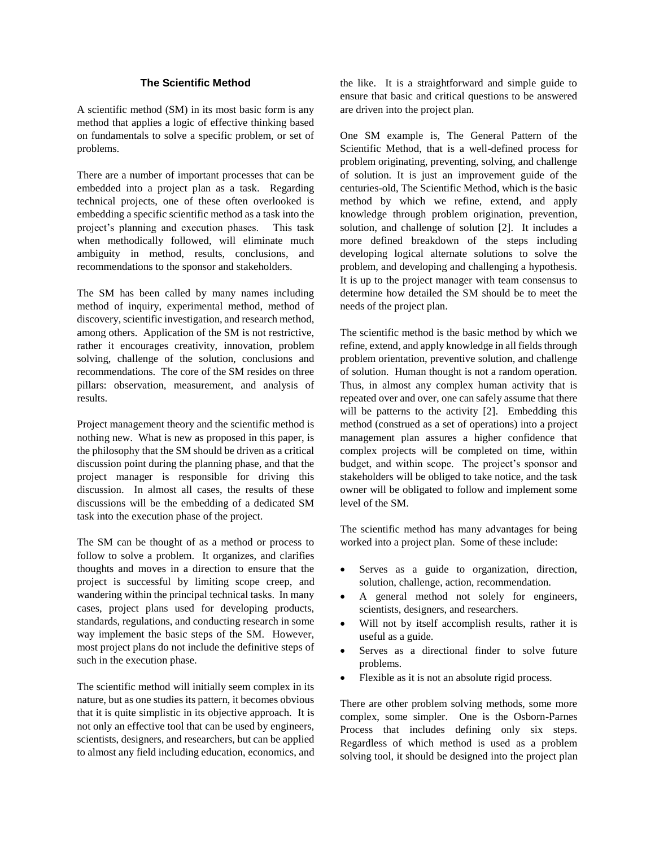## **The Scientific Method**

A scientific method (SM) in its most basic form is any method that applies a logic of effective thinking based on fundamentals to solve a specific problem, or set of problems.

There are a number of important processes that can be embedded into a project plan as a task. Regarding technical projects, one of these often overlooked is embedding a specific scientific method as a task into the project's planning and execution phases. This task when methodically followed, will eliminate much ambiguity in method, results, conclusions, and recommendations to the sponsor and stakeholders.

The SM has been called by many names including method of inquiry, experimental method, method of discovery, scientific investigation, and research method, among others. Application of the SM is not restrictive, rather it encourages creativity, innovation, problem solving, challenge of the solution, conclusions and recommendations. The core of the SM resides on three pillars: observation, measurement, and analysis of results.

Project management theory and the scientific method is nothing new. What is new as proposed in this paper, is the philosophy that the SM should be driven as a critical discussion point during the planning phase, and that the project manager is responsible for driving this discussion. In almost all cases, the results of these discussions will be the embedding of a dedicated SM task into the execution phase of the project.

The SM can be thought of as a method or process to follow to solve a problem. It organizes, and clarifies thoughts and moves in a direction to ensure that the project is successful by limiting scope creep, and wandering within the principal technical tasks. In many cases, project plans used for developing products, standards, regulations, and conducting research in some way implement the basic steps of the SM. However, most project plans do not include the definitive steps of such in the execution phase.

The scientific method will initially seem complex in its nature, but as one studies its pattern, it becomes obvious that it is quite simplistic in its objective approach. It is not only an effective tool that can be used by engineers, scientists, designers, and researchers, but can be applied to almost any field including education, economics, and

the like. It is a straightforward and simple guide to ensure that basic and critical questions to be answered are driven into the project plan.

One SM example is, The General Pattern of the Scientific Method, that is a well-defined process for problem originating, preventing, solving, and challenge of solution. It is just an improvement guide of the centuries-old, The Scientific Method, which is the basic method by which we refine, extend, and apply knowledge through problem origination, prevention, solution, and challenge of solution [2]. It includes a more defined breakdown of the steps including developing logical alternate solutions to solve the problem, and developing and challenging a hypothesis. It is up to the project manager with team consensus to determine how detailed the SM should be to meet the needs of the project plan.

The scientific method is the basic method by which we refine, extend, and apply knowledge in all fields through problem orientation, preventive solution, and challenge of solution. Human thought is not a random operation. Thus, in almost any complex human activity that is repeated over and over, one can safely assume that there will be patterns to the activity [2]. Embedding this method (construed as a set of operations) into a project management plan assures a higher confidence that complex projects will be completed on time, within budget, and within scope. The project's sponsor and stakeholders will be obliged to take notice, and the task owner will be obligated to follow and implement some level of the SM.

The scientific method has many advantages for being worked into a project plan. Some of these include:

- Serves as a guide to organization, direction, solution, challenge, action, recommendation.
- A general method not solely for engineers, scientists, designers, and researchers.
- Will not by itself accomplish results, rather it is useful as a guide.
- Serves as a directional finder to solve future problems.
- Flexible as it is not an absolute rigid process.

There are other problem solving methods, some more complex, some simpler. One is the Osborn-Parnes Process that includes defining only six steps. Regardless of which method is used as a problem solving tool, it should be designed into the project plan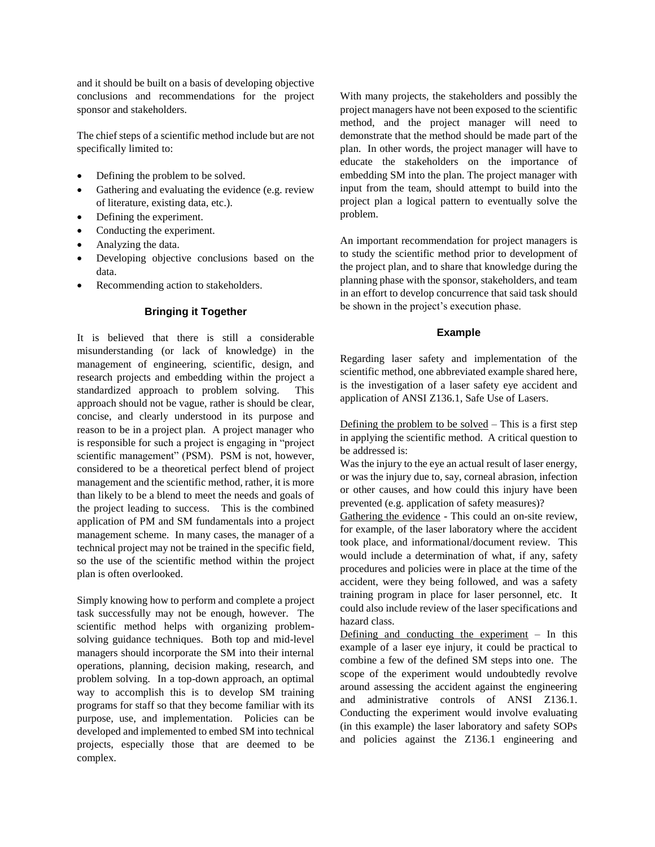and it should be built on a basis of developing objective conclusions and recommendations for the project sponsor and stakeholders.

The chief steps of a scientific method include but are not specifically limited to:

- Defining the problem to be solved.
- Gathering and evaluating the evidence (e.g. review of literature, existing data, etc.).
- Defining the experiment.
- Conducting the experiment.
- Analyzing the data.
- Developing objective conclusions based on the data.
- Recommending action to stakeholders.

### **Bringing it Together**

It is believed that there is still a considerable misunderstanding (or lack of knowledge) in the management of engineering, scientific, design, and research projects and embedding within the project a standardized approach to problem solving. This approach should not be vague, rather is should be clear, concise, and clearly understood in its purpose and reason to be in a project plan. A project manager who is responsible for such a project is engaging in "project scientific management" (PSM). PSM is not, however, considered to be a theoretical perfect blend of project management and the scientific method, rather, it is more than likely to be a blend to meet the needs and goals of the project leading to success. This is the combined application of PM and SM fundamentals into a project management scheme. In many cases, the manager of a technical project may not be trained in the specific field, so the use of the scientific method within the project plan is often overlooked.

Simply knowing how to perform and complete a project task successfully may not be enough, however. The scientific method helps with organizing problemsolving guidance techniques. Both top and mid-level managers should incorporate the SM into their internal operations, planning, decision making, research, and problem solving. In a top-down approach, an optimal way to accomplish this is to develop SM training programs for staff so that they become familiar with its purpose, use, and implementation. Policies can be developed and implemented to embed SM into technical projects, especially those that are deemed to be complex.

With many projects, the stakeholders and possibly the project managers have not been exposed to the scientific method, and the project manager will need to demonstrate that the method should be made part of the plan. In other words, the project manager will have to educate the stakeholders on the importance of embedding SM into the plan. The project manager with input from the team, should attempt to build into the project plan a logical pattern to eventually solve the problem.

An important recommendation for project managers is to study the scientific method prior to development of the project plan, and to share that knowledge during the planning phase with the sponsor, stakeholders, and team in an effort to develop concurrence that said task should be shown in the project's execution phase.

### **Example**

Regarding laser safety and implementation of the scientific method, one abbreviated example shared here, is the investigation of a laser safety eye accident and application of ANSI Z136.1, Safe Use of Lasers.

Defining the problem to be solved – This is a first step in applying the scientific method. A critical question to be addressed is:

Was the injury to the eye an actual result of laser energy, or was the injury due to, say, corneal abrasion, infection or other causes, and how could this injury have been prevented (e.g. application of safety measures)?

Gathering the evidence - This could an on-site review, for example, of the laser laboratory where the accident took place, and informational/document review. This would include a determination of what, if any, safety procedures and policies were in place at the time of the accident, were they being followed, and was a safety training program in place for laser personnel, etc. It could also include review of the laser specifications and hazard class.

Defining and conducting the experiment – In this example of a laser eye injury, it could be practical to combine a few of the defined SM steps into one. The scope of the experiment would undoubtedly revolve around assessing the accident against the engineering and administrative controls of ANSI Z136.1. Conducting the experiment would involve evaluating (in this example) the laser laboratory and safety SOPs and policies against the Z136.1 engineering and